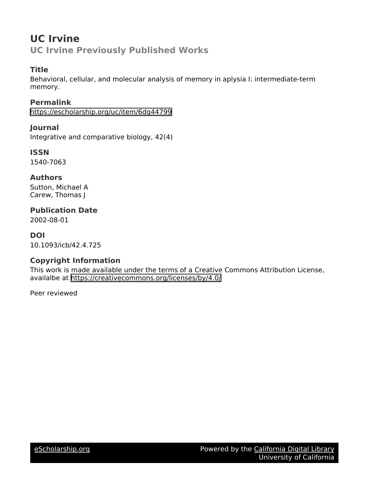# **UC Irvine UC Irvine Previously Published Works**

# **Title**

Behavioral, cellular, and molecular analysis of memory in aplysia I: intermediate-term memory.

**Permalink** <https://escholarship.org/uc/item/6dg44799>

**Journal** Integrative and comparative biology, 42(4)

**ISSN** 1540-7063

**Authors**

Sutton, Michael A Carew, Thomas J

**Publication Date**

2002-08-01

# **DOI**

10.1093/icb/42.4.725

# **Copyright Information**

This work is made available under the terms of a Creative Commons Attribution License, availalbe at <https://creativecommons.org/licenses/by/4.0/>

Peer reviewed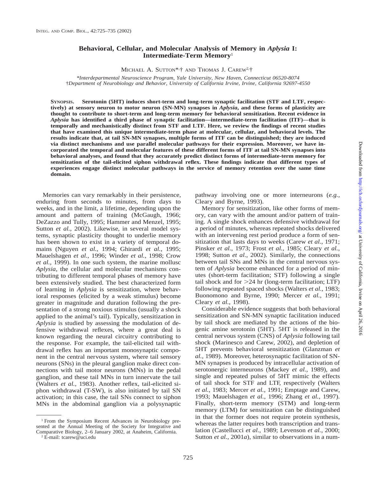# **Behavioral, Cellular, and Molecular Analysis of Memory in** *Aplysia* **I: Intermediate-Term Memory**<sup>1</sup>

MICHAEL A. SUTTON<sup>\*</sup><sup>†</sup> AND THOMAS J. CAREW<sup>2,†</sup>

*\*Interdepartmental Neuroscience Program, Yale University, New Haven, Connecticut 06520-8074* †*Department of Neurobiology and Behavior, University of California Irvine, Irvine, California 92697-4550*

**SYNOPSIS. Serotonin (5HT) induces short-term and long-term synaptic facilitation (STF and LTF, respectively) at sensory neuron to motor neuron (SN-MN) synapses in** *Aplysia***, and these forms of plasticity are thought to contribute to short-term and long-term memory for behavioral sensitization. Recent evidence in** *Aplysia* **has identified a third phase of synaptic facilitation—intermediate-term facilitation (ITF)—that is temporally and mechanistically distinct from STF and LTF. Here, we review the findings of recent studies that have examined this unique intermediate-term phase at molecular, cellular, and behavioral levels. The results indicate that, at tail SN-MN synapses, multiple forms of ITF can be distinguished; they are induced via distinct mechanisms and use parallel molecular pathways for their expression. Moreover, we have incorporated the temporal and molecular features of these different forms of ITF at tail SN-MN synapses into behavioral analyses, and found that they accurately predict distinct forms of intermediate-term memory for sensitization of the tail-elicited siphon withdrawal reflex. These findings indicate that different types of experiences engage distinct molecular pathways in the service of memory retention over the same time domain.**

Memories can vary remarkably in their persistence, enduring from seconds to minutes, from days to weeks, and in the limit, a lifetime, depending upon the amount and pattern of training (McGaugh, 1966; DeZazzo and Tully, 1995; Hammer and Menzel, 1995; Sutton *et al.*, 2002). Likewise, in several model systems, synaptic plasticity thought to underlie memory has been shown to exist in a variety of temporal domains (Nguyen *et al.*, 1994; Ghirardi *et al.*, 1995; Mauelshagen *et al.*, 1996; Winder *et al.*, 1998; Crow *et al.*, 1999). In one such system, the marine mollusc *Aplysia*, the cellular and molecular mechanisms contributing to different temporal phases of memory have been extensively studied. The best characterized form of learning in *Aplysia* is sensitization, where behavioral responses (elicited by a weak stimulus) become greater in magnitude and duration following the presentation of a strong noxious stimulus (usually a shock applied to the animal's tail). Typically, sensitization in *Aplysia* is studied by assessing the modulation of defensive withdrawal reflexes, where a great deal is known regarding the neural circuitry contributing to the response. For example, the tail-elicited tail withdrawal reflex has an important monosynaptic component in the central nervous system, where tail sensory neurons (SNs) in the pleural ganglion make direct connections with tail motor neurons (MNs) in the pedal ganglion, and these tail MNs in turn innervate the tail (Walters *et al.*, 1983). Another reflex, tail-elicited siphon withdrawal (T-SW), is also initiated by tail SN activation; in this case, the tail SNs connect to siphon MNs in the abdominal ganglion via a polysynaptic

<sup>1</sup> From the Symposium Recent Advances in Neurobiology presented at the Annual Meeting of the Society for Integrative and Comparative Biology, 2–6 January 2002, at Anaheim, California.

pathway involving one or more interneurons (*e.g.,* Cleary and Byrne, 1993).

Memory for sensitization, like other forms of memory, can vary with the amount and/or pattern of training. A single shock enhances defensive withdrawal for a period of minutes, whereas repeated shocks delivered with an intervening rest period produce a form of sensitization that lasts days to weeks (Carew *et al.*, 1971; Pinsker *et al.*, 1973; Frost *et al.*, 1985; Cleary *et al.*, 1998; Sutton *et al.*, 2002). Similarly, the connections between tail SNs and MNs in the central nervous system of *Aplysia* become enhanced for a period of minutes (short-term facilitation; STF) following a single tail shock and for  $>24$  hr (long-term facilitation; LTF) following repeated spaced shocks (Walters *et al.*, 1983; Buonomono and Byrne, 1990; Mercer *et al.*, 1991; Cleary *et al.*, 1998).

Considerable evidence suggests that both behavioral sensitization and SN-MN synaptic facilitation induced by tail shock are mediated by the actions of the biogenic amine serotonin (5HT). 5HT is released in the central nervous system (CNS) of *Aplysia* following tail shock (Marinesco and Carew, 2002), and depletion of 5HT prevents behavioral sensitization (Glanzman *et al.*, 1989). Moreover, heterosynaptic facilitation of SN-MN synapses is produced by intracellular activation of serotonergic interneurons (Mackey *et al.*, 1989), and single and repeated pulses of 5HT mimic the effects of tail shock for STF and LTF, respectively (Walters *et al.*, 1983; Mercer *et al.*, 1991; Emptage and Carew, 1993; Mauelshagen *et al.*, 1996; Zhang *et al.*, 1997). Finally, short-term memory (STM) and long-term memory (LTM) for sensitization can be distinguished in that the former does not require protein synthesis, whereas the latter requires both transcription and translation (Castellucci *et al.*, 1989; Levenson *et al.*, 2000; Sutton *et al.*, 2001*a*), similar to observations in a num-

<sup>2</sup> E-mail: tcarew@uci.edu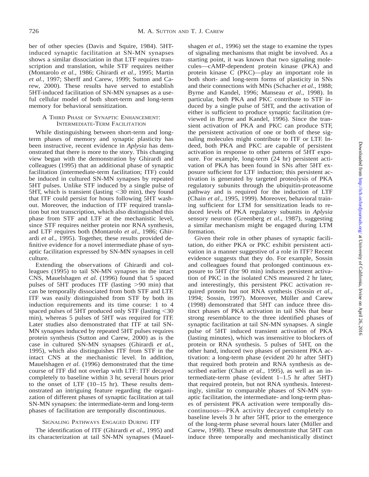ber of other species (Davis and Squire, 1984). 5HTinduced synaptic facilitation at SN-MN synapses shows a similar dissociation in that LTF requires transcription and translation, while STF requires neither (Montarolo *et al.*, 1986; Ghirardi *et al.*, 1995; Martin *et al.*, 1997; Sherff and Carew, 1999; Sutton and Carew, 2000). These results have served to establish 5HT-induced facilitation of SN-MN synapses as a useful cellular model of both short-term and long-term memory for behavioral sensitization.

## A THIRD PHASE OF SYNAPTIC ENHANCEMENT: INTERMEDIATE-TERM FACILITATION

While distinguishing between short-term and longterm phases of memory and synaptic plasticity has been instructive, recent evidence in *Aplysia* has demonstrated that there is more to the story. This changing view began with the demonstration by Ghirardi and colleagues (1995) that an additional phase of synaptic facilitation (intermediate-term facilitation; ITF) could be induced in cultured SN-MN synapses by repeated 5HT pulses. Unlike STF induced by a single pulse of 5HT, which is transient (lasting  $\leq$  30 min), they found that ITF could persist for hours following 5HT washout. Moreover, the induction of ITF required translation but not transcription, which also distinguished this phase from STF and LTF at the mechanistic level, since STF requires neither protein nor RNA synthesis, and LTF requires both (Montarolo *et al.*, 1986; Ghirardi *et al.*, 1995). Together, these results provided definitive evidence for a novel intermediate phase of synaptic facilitation expressed by SN-MN synapses in cell culture.

Extending the observations of Ghirardi and colleagues (1995) to tail SN-MN synapses in the intact CNS, Mauelshagen *et al.* (1996) found that 5 spaced pulses of  $5HT$  produces ITF (lasting  $>90$  min) that can be temporally dissociated from both STF and LTF. ITF was easily distinguished from STF by both its induction requirements and its time course: 1 to 4 spaced pulses of  $5HT$  produced only STF (lasting  $<30$ ) min), whereas 5 pulses of 5HT was required for ITF. Later studies also demonstrated that ITF at tail SN-MN synapses induced by repeated 5HT pulses requires protein synthesis (Sutton and Carew, 2000) as is the case in cultured SN-MN synapses (Ghirardi *et al.*, 1995), which also distinguishes ITF from STF in the intact CNS at the mechanistic level. In addition, Mauelshagen *et al.* (1996) demonstrated that the time course of ITF did not overlap with LTF: ITF decayed completely to baseline within 3 hr, several hours prior to the onset of LTF (10–15 hr). These results demonstrated an intriguing feature regarding the organization of different phases of synaptic facilitation at tail SN-MN synapses: the intermediate-term and long-term phases of facilitation are temporally discontinuous.

### SIGNALING PATHWAYS ENGAGED DURING ITF

The identification of ITF (Ghirardi *et al.*, 1995) and its characterization at tail SN-MN synapses (Mauel-

shagen *et al.*, 1996) set the stage to examine the types of signaling mechanisms that might be involved. As a starting point, it was known that two signaling molecules—cAMP-dependent protein kinase (PKA) and protein kinase C (PKC)—play an important role in both short- and long-term forms of plasticity in SNs and their connections with MNs (Schacher *et al.*, 1988; Byrne and Kandel, 1996; Manseau *et al.*, 1998). In particular, both PKA and PKC contribute to STF induced by a single pulse of 5HT, and the activation of either is sufficient to produce synaptic facilitation (reviewed in Byrne and Kandel, 1996). Since the transient activation of PKA and PKC can produce STF, the persistent activation of one or both of these signaling molecules might contribute to ITF or LTF. Indeed, both PKA and PKC are capable of persistent activation in response to other patterns of 5HT exposure. For example, long-term (24 hr) persistent activation of PKA has been found in SNs after 5HT exposure sufficient for LTF induction; this persistent activation is generated by targeted proteolysis of PKA regulatory subunits through the ubiquitin-proteasome pathway and is required for the induction of LTF (Chain *et al.*, 1995, 1999). Moreover, behavioral training sufficient for LTM for sensitization leads to reduced levels of PKA regulatory subunits in *Aplysia* sensory neurons (Greenberg *et al.*, 1987), suggesting a similar mechanism might be engaged during LTM formation.

Given their role in other phases of synaptic facilitation, do either PKA or PKC exhibit persistent activation in a manner suggestive of a role in ITF? Recent evidence suggests that they do. For example, Sossin and colleagues found that prolonged continuous exposure to 5HT (for 90 min) induces persistent activation of PKC in the isolated CNS measured 2 hr later, and interestingly, this persistent PKC activation required protein but not RNA synthesis (Sossin *et al.*, 1994; Sossin, 1997). Moreover, Müller and Carew (1998) demonstrated that 5HT can induce three distinct phases of PKA activation in tail SNs that bear strong resemblance to the three identified phases of synaptic facilitation at tail SN-MN synapses. A single pulse of 5HT induced transient activation of PKA (lasting minutes), which was insensitive to blockers of protein or RNA synthesis. 5 pulses of 5HT, on the other hand, induced two phases of persistent PKA activation: a long-term phase (evident 20 hr after 5HT) that required both protein and RNA synthesis as described earlier (Chain *et al.*, 1995), as well as an intermediate-term phase (evident 1–1.5 hr after 5HT) that required protein, but not RNA synthesis. Interestingly, similar to comparable phases of SN-MN synaptic facilitation, the intermediate- and long-term phases of persistent PKA activation were temporally discontinuous—PKA activity decayed completely to baseline levels 3 hr after 5HT, prior to the emergence of the long-term phase several hours later (Müller and Carew, 1998). These results demonstrate that 5HT can induce three temporally and mechanistically distinct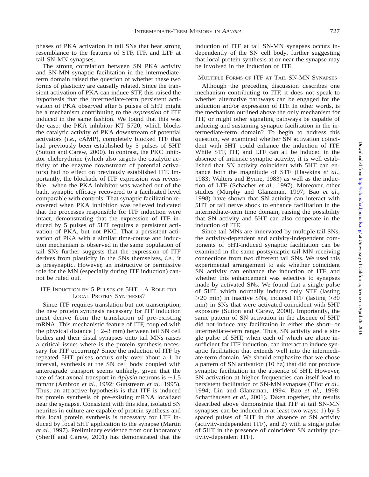phases of PKA activation in tail SNs that bear strong resemblance to the features of STF, ITF, and LTF at tail SN-MN synapses.

The strong correlation between SN PKA activity and SN-MN synaptic facilitation in the intermediateterm domain raised the question of whether these two forms of plasticity are causally related. Since the transient activation of PKA can induce STF, this raised the hypothesis that the intermediate-term persistent activation of PKA observed after 5 pulses of 5HT might be a mechanism contributing to the *expression* of ITF induced in the same fashion. We found that this was the case: the PKA inhibitor KT 5720, which blocks the catalytic activity of PKA downstream of potential activators (*i.e.,* cAMP), completely blocked ITF that had previously been established by 5 pulses of 5HT (Sutton and Carew, 2000). In contrast, the PKC inhibitor chelerythrine (which also targets the catalytic activity of the enzyme downstream of potential activators) had no effect on previously established ITF. Importantly, the blockade of ITF expression was reversible—when the PKA inhibitor was washed out of the bath, synaptic efficacy recovered to a facilitated level comparable with controls. That synaptic facilitation recovered when PKA inhibition was relieved indicated that the processes responsible for ITF induction were intact, demonstrating that the expression of ITF induced by 5 pulses of 5HT requires a persistent activation of PKA, but not PKC. That a persistent activation of PKA with a similar time-course and induction mechanism is observed in the same population of tail SNs further suggests that the expression of ITF derives from plasticity in the SNs themselves, *i.e.,* it is presynaptic. However, an instructive or permissive role for the MN (especially during ITF induction) cannot be ruled out.

## ITF INDUCTION BY 5 PULSES OF 5HT—A ROLE FOR LOCAL PROTEIN SYNTHESIS?

Since ITF requires translation but not transcription, the new protein synthesis necessary for ITF induction must derive from the translation of pre-existing mRNA. This mechanistic feature of ITF, coupled with the physical distance  $(\sim 2-3$  mm) between tail SN cell bodies and their distal synapses onto tail MNs raises a critical issue: where is the protein synthesis necessary for ITF occurring? Since the induction of ITF by repeated 5HT pulses occurs only over about a 1 hr interval, synthesis at the SN cell body coupled with anterograde transport seems unlikely, given that the rate of fast axonal transport in *Aplysia* neurons is  $\sim$ 1.5 mm/hr (Ambron *et al.*, 1992; Gunstream *et al.*, 1995). Thus, an attractive hypothesis is that ITF is induced by protein synthesis of pre-existing mRNA localized near the synapse. Consistent with this idea, isolated SN neurites in culture are capable of protein synthesis and this local protein synthesis is necessary for LTF induced by focal 5HT application to the synapse (Martin *et al.*, 1997). Preliminary evidence from our laboratory (Sherff and Carew, 2001) has demonstrated that the

induction of ITF at tail SN-MN synapses occurs independently of the SN cell body, further suggesting that local protein synthesis at or near the synapse may be involved in the induction of ITF.

## MULTIPLE FORMS OF ITF AT TAIL SN-MN SYNAPSES

Although the preceding discussion describes one mechanism contributing to ITF, it does not speak to whether alternative pathways can be engaged for the induction and/or expression of ITF. In other words, is the mechanism outlined above the only mechanism for ITF, or might other signaling pathways be capable of inducing and sustaining synaptic facilitation in the intermediate-term domain? To begin to address this question, we examined whether SN activation coincident with 5HT could enhance the induction of ITF. While STF, ITF, and LTF can all be induced in the absence of intrinsic synaptic activity, it is well established that SN activity coincident with 5HT can enhance both the magnitude of STF (Hawkins *et al.*, 1983; Walters and Byrne, 1983) as well as the induction of LTF (Schacher *et al.*, 1997). Moreover, other studies (Murphy and Glanzman, 1997; Bao *et al.*, 1998) have shown that SN activity can interact with 5HT or tail nerve shock to enhance facilitation in the intermediate-term time domain, raising the possibility that SN activity and 5HT can also cooperate in the induction of ITF.

Since tail MNs are innervated by multiple tail SNs, the activity-dependent and activity-independent components of 5HT-induced synaptic facilitation can be examined in the same postsynaptic tail MN receiving connections from two different tail SNs. We used this experimental arrangement to ask whether coincident SN activity can enhance the induction of ITF, and whether this enhancement was selective to synapses made by activated SNs. We found that a single pulse of 5HT, which normally induces only STF (lasting  $>$ 20 min) in inactive SNs, induced ITF (lasting  $>$ 80 min) in SNs that were activated coincident with 5HT exposure (Sutton and Carew, 2000). Importantly, the same pattern of SN activation in the absence of 5HT did not induce any facilitation in either the short- or intermediate-term range. Thus, SN activity and a single pulse of 5HT, when each of which are alone insufficient for ITF induction, can interact to induce synaptic facilitation that extends well into the intermediate-term domain. We should emphasize that we chose a pattern of SN activation (10 hz) that did not produce synaptic facilitation in the absence of 5HT. However, SN activation at higher frequencies can itself lead to persistent facilitation of SN-MN synapses (Eliot *et al.*, 1994; Lin and Glanzman, 1994; Bao *et al.*, 1998; Schaffhausen *et al.*, 2001). Taken together, the results described above demonstrate that ITF at tail SN-MN synapses can be induced in at least two ways: 1) by 5 spaced pulses of 5HT in the absence of SN activity (activity-independent ITF), and 2) with a single pulse of 5HT in the presence of coincident SN activity (activity-dependent ITF).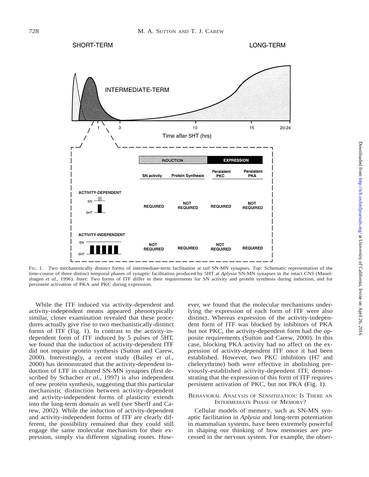SHORT-TFRM

LONG-TERM



FIG. 1. Two mechanistically distinct forms of intermediate-term facilitation at tail SN-MN synapses. *Top:* Schematic representation of the time-course of three distinct temporal phases of synaptic facilitation produced by 5HT at *Aplysia* SN-MN synapses in the intact CNS (Mauelshagen *et al.*, 1996). *Inset:* Two forms of ITF differ in their requirements for SN activity and protein synthesis during induction, and for persistent activation of PKA and PKC during expression.

While the ITF induced via activity-dependent and activity-independent means appeared phenotypically similar, closer examination revealed that these procedures actually give rise to two mechanistically-distinct forms of ITF (Fig. 1). In contrast to the activity-independent form of ITF induced by 5 pulses of 5HT, we found that the induction of activity-dependent ITF did not require protein synthesis (Sutton and Carew, 2000). Interestingly, a recent study (Bailey *et al.*, 2000) has demonstrated that the activity-dependent induction of LTF in cultured SN-MN synapses (first described by Schacher *et al.*, 1997) is also independent of new protein synthesis, suggesting that this particular mechanistic distinction between activity-dependent and activity-independent forms of plasticity extends into the long-term domain as well (see Sherff and Carew, 2002). While the induction of activity-dependent and activity-independent forms of ITF are clearly different, the possibility remained that they could still engage the same molecular mechanism for their expression, simply via different signaling routes. How-

ever, we found that the molecular mechanisms underlying the expression of each form of ITF were also distinct. Whereas expression of the activity-independent form of ITF was blocked by inhibitors of PKA but not PKC, the activity-dependent form had the opposite requirements (Sutton and Carew, 2000). In this case, blocking PKA activity had no affect on the expression of activity-dependent ITF once it had been established. However, two PKC inhibitors (H7 and chelerythrine) both were effective in abolishing previously-established activity-dependent ITF, demonstrating that the expression of this form of ITF requires persistent activation of PKC, but not PKA (Fig. 1).

#### BEHAVIORAL ANALYSIS OF SENSITIZATION: IS THERE AN INTERMEDIATE PHASE OF MEMORY?

Cellular models of memory, such as SN-MN synaptic facilitation in *Aplysia* and long-term potentiation in mammalian systems, have been extremely powerful in shaping our thinking of how memories are processed in the nervous system. For example, the obser-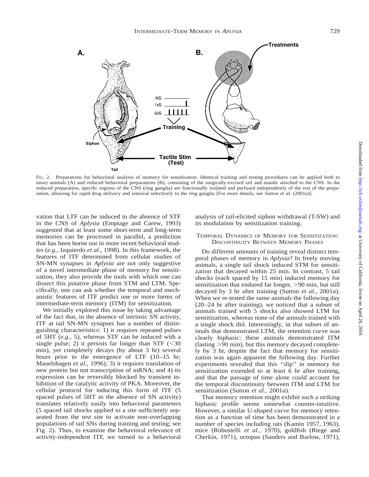

FIG. 2. Preparations for behavioral analysis of memory for sensitization. Identical training and testing procedures can be applied both to intact animals (A) and reduced behavioral preparations (B), consisting of the surgically-excised tail and mantle attached to the CNS. In the reduced preparation, specific regions of the CNS (ring ganglia) are functionally isolated and perfused independently of the rest of the preparation, allowing for rapid drug delivery and removal selectively to the ring ganglia [For more details, see Sutton *et al.* (2001*a*)].

vation that LTF can be induced in the absence of STF in the CNS of *Aplysia* (Emptage and Carew, 1993) suggested that at least some short-term and long-term memories can be processed in parallel, a prediction that has been borne out in more recent behavioral studies (*e.g.,* Izquierdo *et al.*, 1998). In this framework, the features of ITF determined from cellular studies of SN-MN synapses in *Aplysia* are not only suggestive of a novel intermediate phase of memory for sensitization, they also provide the tools with which one can dissect this putative phase from STM and LTM. Specifically, one can ask whether the temporal and mechanistic features of ITF predict one or more forms of intermediate-term memory (ITM) for sensitization.

We initially explored this issue by taking advantage of the fact that, in the absence of intrinsic SN activity, ITF at tail SN-MN synapses has a number of distinguishing characteristics: 1) it requires repeated pulses of 5HT (*e.g.,* 5), whereas STF can be induced with a single pulse; 2) it persists far longer than STF  $\approx$ min), yet completely decays (by about 3 hr) several hours prior to the emergence of LTF (10-15 hr; Mauelshagen *et al.*, 1996); 3) it requires translation of new protein but not transcription of mRNA; and 4) its expression can be reversibly blocked by transient inhibition of the catalytic activity of PKA. Moreover, the cellular protocol for inducing this form of ITF (5 spaced pulses of 5HT in the absence of SN activity) translates relatively easily into behavioral parameters (5 spaced tail shocks applied to a site sufficiently separated from the test site to activate non-overlapping populations of tail SNs during training and testing; see Fig. 2). Thus, to examine the behavioral relevance of activity-independent ITF, we turned to a behavioral

analysis of tail-elicited siphon withdrawal (T-SW) and its modulation by sensitization training.

### TEMPORAL DYNAMICS OF MEMORY FOR SENSITIZATION: DISCONTINUITY BETWEEN MEMORY PHASES

Do different amounts of training reveal distinct temporal phases of memory in *Aplysia*? In freely moving animals, a single tail shock induced STM for sensitization that decayed within 25 min. In contrast, 5 tail shocks (each spaced by 15 min) induced memory for sensitization that endured far longer,  $>90$  min, but still decayed by 3 hr after training (Sutton *et al.*, 2001*a*). When we re-tested the same animals the following day (20–24 hr after training), we noticed that a subset of animals trained with 5 shocks also showed LTM for sensitization, whereas none of the animals trained with a single shock did. Interestingly, in that subset of animals that demonstrated LTM, the retention curve was clearly biphasic: these animals demonstrated ITM  $(lasting >90 min)$ , but this memory decayed completely by 3 hr, despite the fact that memory for sensitization was again apparent the following day. Further experiments revealed that this ''dip'' in memory for sensitization extended to at least 6 hr after training, and that the passage of time alone could account for the temporal discontinuity between ITM and LTM for sensitization (Sutton *et al.*, 2001*a*).

That memory retention might exhibit such a striking biphasic profile seems somewhat counter-intuitive. However, a similar U-shaped curve for memory retention as a function of time has been demonstrated in a number of species including rats (Kamin 1957, 1963), mice (Robustelli *et al.*, 1970), goldfish (Riege and Cherkin, 1971), octopus (Sanders and Barlow, 1971),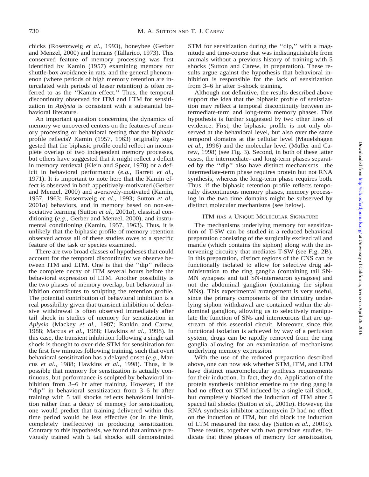chicks (Rosenzweig *et al.*, 1993), honeybee (Gerber and Menzel, 2000) and humans (Tallarico, 1973). This conserved feature of memory processing was first identified by Kamin (1957) examining memory for shuttle-box avoidance in rats, and the general phenomenon (where periods of high memory retention are intercalated with periods of lesser retention) is often referred to as the ''Kamin effect.'' Thus, the temporal discontinuity observed for ITM and LTM for sensitization in *Aplysia* is consistent with a substantial behavioral literature.

An important question concerning the dynamics of memory we uncovered centers on the features of memory processing or behavioral testing that the biphasic profile reflects? Kamin (1957, 1963) originally suggested that the biphasic profile could reflect an incomplete overlap of two independent memory processes, but others have suggested that it might reflect a deficit in memory retrieval (Klein and Spear, 1970) or a deficit in behavioral performance (*e.g.,* Barrett *et al.*, 1971). It is important to note here that the Kamin effect is observed in both appetitively-motivated (Gerber and Menzel, 2000) and aversively-motivated (Kamin, 1957, 1963; Rosenzweig *et al.*, 1993; Sutton *et al.*, 2001*a*) behaviors, and in memory based on non-associative learning (Sutton *et al.*, 2001*a*), classical conditioning (*e.g.,* Gerber and Menzel, 2000), and instrumental conditioning (Kamin, 1957, 1963). Thus, it is unlikely that the biphasic profile of memory retention observed across all of these studies owes to a specific feature of the task or species examined.

There are two broad classes of hypotheses that could account for the temporal discontinuity we observe between ITM and LTM. One is that the ''dip'' reflects the complete decay of ITM several hours before the behavioral expression of LTM. Another possibility is the two phases of memory overlap, but behavioral inhibition contributes to sculpting the retention profile. The potential contribution of behavioral inhibition is a real possibility given that transient inhibition of defensive withdrawal is often observed immediately after tail shock in studies of memory for sensitization in *Aplysia* (Mackey *et al.*, 1987; Rankin and Carew, 1988; Marcus *et al.*, 1988; Hawkins *et al.*, 1998). In this case, the transient inhibition following a single tail shock is thought to over-ride STM for sensitization for the first few minutes following training, such that overt behavioral sensitization has a delayed onset (*e.g.,* Marcus *et al.*, 1988; Hawkins *et al.*, 1998). Thus, it is possible that memory for senstization is actually continuous, but performance is sculpted by behavioral inhibition from 3–6 hr after training. However, if the ''dip'' in behavioral sensitization from 3–6 hr after training with 5 tail shocks reflects behavioral inhibition rather than a decay of memory for sensitization, one would predict that training delivered within this time period would be less effective (or in the limit, completely ineffective) in producing sensitization. Contrary to this hypothesis, we found that animals previously trained with 5 tail shocks still demonstrated STM for sensitization during the "dip," with a magnitude and time-course that was indistinguishable from animals without a previous history of training with 5 shocks (Sutton and Carew, in preparation). These results argue against the hypothesis that behavioral inhibition is responsible for the lack of sensitization from 3–6 hr after 5-shock training.

Although not definitive, the results described above support the idea that the biphasic profile of senistization may reflect a temporal discontinuity between intermediate-term and long-term memory phases. This hypothesis is further suggested by two other lines of evidence. First, the biphasic profile is not only observed at the behavioral level, but also over the same temporal domains at the cellular level (Mauelshagen *et al.*, 1996) and the molecular level (Müller and Carew, 1998) (see Fig. 3). Second, in both of these latter cases, the intermediate- and long-term phases separated by the ''dip'' also have distinct mechanisms—the intermediate-term phase requires protein but not RNA synthesis, whereas the long-term phase requires both. Thus, if the biphasic retention profile reflects temporally discontinuous memory phases, memory processing in the two time domains might be subserved by distinct molecular mechanisms (see below).

#### ITM HAS A UNIQUE MOLECULAR SIGNATURE

The mechanisms underlying memory for sensitization of T-SW can be studied in a reduced behavioral preparation consisting of the surgically excised tail and mantle (which contains the siphon) along with the intervening circuitry that mediates T-SW (see Fig. 2B). In this preparation, distinct regions of the CNS can be functionally isolated to allow for selective drug administration to the ring ganglia (containing tail SN-MN synapses and tail SN-interneuron synapses) and not the abdominal ganglion (containing the siphon MNs). This experimental arrangement is very useful, since the primary components of the circuitry underlying siphon withdrawal are contained within the abdominal ganglion, allowing us to selectively manipulate the function of SNs and interneurons that are upstream of this essential circuit. Moreover, since this functional isolation is achieved by way of a perfusion system, drugs can be rapidly removed from the ring ganglia allowing for an examination of mechanisms underlying memory expression.

With the use of the reduced preparation described above, one can now ask whether STM, ITM, and LTM have distinct macromolecular synthesis requirements for their induction. In fact, they do. Application of the protein synthesis inhibitor emetine to the ring ganglia had no effect on STM induced by a single tail shock, but completely blocked the induction of ITM after 5 spaced tail shocks (Sutton *et al.*, 2001*a*). However, the RNA synthesis inhibitor actinomycin D had no effect on the induction of ITM, but did block the induction of LTM measured the next day (Sutton *et al.*, 2001*a*). These results, together with two previous studies, indicate that three phases of memory for sensitization,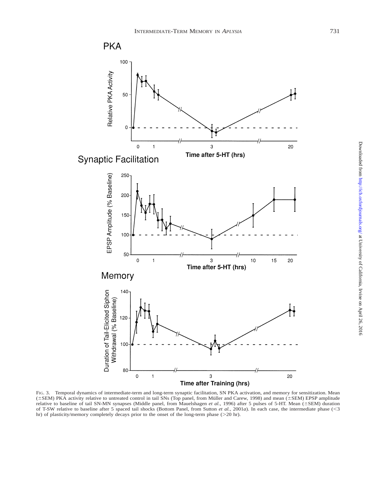

FIG. 3. Temporal dynamics of intermediate-term and long-term synaptic facilitation, SN PKA activation, and memory for sensitization. Mean (±SEM) PKA activity relative to untreated control in tail SNs (Top panel, from Müller and Carew, 1998) and mean (±SEM) EPSP amplitude relative to baseline of tail SN-MN synapses (Middle panel, from Mauelshagen *et al.*, 1996) after 5 pulses of 5-HT. Mean (±SEM) duration of T-SW relative to baseline after 5 spaced tail shocks (Bottom Panel, from Sutton *et al.*, 2001*a*). In each case, the intermediate phase (<3) hr) of plasticity/memory completely decays prior to the onset of the long-term phase  $(>20$  hr).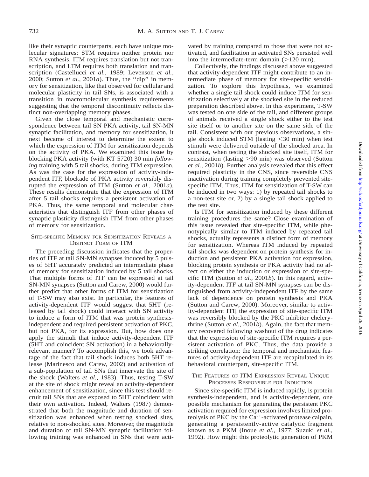like their synaptic counterparts, each have unique molecular signatures: STM requires neither protein nor RNA synthesis, ITM requires translation but not transcription, and LTM requires both translation and transcription (Castellucci *et al.*, 1989; Levenson *et al.*, 2000; Sutton *et al.*, 2001*a*). Thus, the ''dip'' in memory for sensitization, like that observed for cellular and molecular plasticity in tail SNs, is associated with a transition in macromolecular synthesis requirements suggesting that the temporal discontinuity reflects distinct non-overlapping memory phases.

Given the close temporal and mechanistic correspondence between tail SN PKA activity, tail SN-MN synaptic facilitation, and memory for sensitization, it next became of interest to determine the extent to which the expression of ITM for sensitization depends on the activity of PKA. We examined this issue by blocking PKA activity (with KT 5720) 30 min *following* training with 5 tail shocks, during ITM expression. As was the case for the expression of activity-independent ITF, blockade of PKA activity reversibly disrupted the expression of ITM (Sutton *et al.*, 2001*a*). These results demonstrate that the expression of ITM after 5 tail shocks requires a persistent activation of PKA. Thus, the same temporal and molecular characteristics that distinguish ITF from other phases of synaptic plasticity distinguish ITM from other phases of memory for sensitization.

# SITE-SPECIFIC MEMORY FOR SENSITIZATION REVEALS A DISTINCT FORM OF ITM

The preceding discussion indicates that the properties of ITF at tail SN-MN synapses induced by 5 pulses of 5HT accurately predicted an intermediate phase of memory for sensitization induced by 5 tail shocks. That multiple forms of ITF can be expressed at tail SN-MN synapses (Sutton and Carew, 2000) would further predict that other forms of ITM for sensitization of T-SW may also exist. In particular, the features of activity-dependent ITF would suggest that 5HT (released by tail shock) could interact with SN activity to induce a form of ITM that was protein synthesisindependent and required persistent activation of PKC, but not PKA, for its expression. But, how does one apply the stimuli that induce activity-dependent ITF (5HT and coincident SN activation) in a behaviorallyrelevant manner? To accomplish this, we took advantage of the fact that tail shock induces both 5HT release (Marinesco and Carew, 2002) and activation of a sub-population of tail SNs that innervate the site of the shock (Walters *et al.*, 1983). Thus, testing T-SW at the site of shock might reveal an activity-dependent enhancement of sensitization, since this test should recruit tail SNs that are exposed to 5HT coincident with their own activation. Indeed, Walters (1987) demonstrated that both the magnitude and duration of sensitization was enhanced when testing shocked sites, relative to non-shocked sites. Moreover, the magnitude and duration of tail SN-MN synaptic facilitation following training was enhanced in SNs that were activated by training compared to those that were not activated, and facilitation in activated SNs persisted well into the intermediate-term domain  $(>120 \text{ min})$ .

Collectively, the findings discussed above suggested that activity-dependent ITF might contribute to an intermediate phase of memory for site-specific sensitization. To explore this hypothesis, we examined whether a single tail shock could induce ITM for sensitization selectively at the shocked site in the reduced preparation described above. In this experiment, T-SW was tested on one side of the tail, and different groups of animals received a single shock either to the test site itself or to another site on the same side of the tail. Consistent with our previous observations, a single shock induced STM (lasting  $\leq$ 30 min) when test stimuli were delivered outside of the shocked area. In contrast, when testing the shocked site itself, ITM for sensitization (lasting >90 min) was observed (Sutton *et al.*, 2001*b*). Further analysis revealed that this effect required plasticity in the CNS, since reversible CNS inactivation during training completely prevented sitespecific ITM. Thus, ITM for sensitization of T-SW can be induced in two ways: 1) by repeated tail shocks to a non-test site or, 2) by a single tail shock applied to the test site.

Is ITM for sensitization induced by these different training procedures the same? Close examination of this issue revealed that site-specific ITM, while phenotypically similar to ITM induced by repeated tail shocks, actually represents a distinct form of memory for sensitization. Whereas ITM induced by repeated tail shocks was dependent on protein synthesis for induction and persistent PKA activation for expression, blocking protein synthesis or PKA activity had no affect on either the induction or expression of site-specific ITM (Sutton *et al.*, 2001*b*). In this regard, activity-dependent ITF at tail SN-MN synapses can be distinguished from activity-independent ITF by the same lack of dependence on protein synthesis and PKA (Sutton and Carew, 2000). Moreover, similar to activity-dependent ITF, the expression of site-specific ITM was reversibly blocked by the PKC inhibitor chelerythrine (Sutton *et al.*, 2001*b*). Again, the fact that memory recovered following washout of the drug indicates that the expression of site-specific ITM requires a persistent activation of PKC. Thus, the data provide a striking correlation: the temporal and mechanistic features of activity-dependent ITF are recapitulated in its behavioral counterpart, site-specific ITM.

# THE FEATURES OF ITM EXPRESSION REVEAL UNIQUE PROCESSES RESPONSIBLE FOR INDUCTION

Since site-specific ITM is induced rapidly, is protein synthesis-independent, and is activity-dependent, one possible mechanism for generating the persistent PKC activation required for expression involves limited proteolysis of PKC by the  $Ca^{2+}$ -activated protease calpain, generating a persistently-active catalytic fragment known as a PKM (Inoue *et al.*, 1977; Suzuki *et al.*, 1992). How might this proteolytic generation of PKM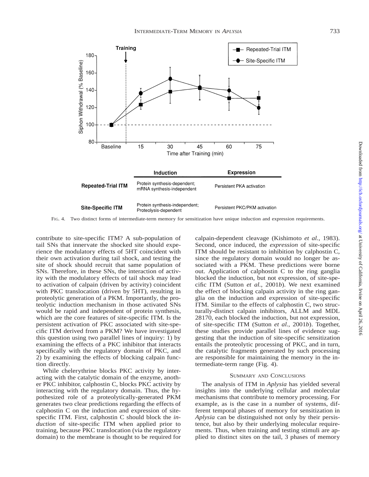**Training** 

180





FIG. 4. Two distinct forms of intermediate-term memory for sensitization have unique induction and expression requirements.

contribute to site-specific ITM? A sub-population of tail SNs that innervate the shocked site should experience the modulatory effects of 5HT coincident with their own activation during tail shock, and testing the site of shock should recruit that same population of SNs. Therefore, in these SNs, the interaction of activity with the modulatory effects of tail shock may lead to activation of calpain (driven by activity) coincident with PKC translocation (driven by 5HT), resulting in proteolytic generation of a PKM. Importantly, the proteolytic induction mechanism in those activated SNs would be rapid and independent of protein synthesis, which are the core features of site-specific ITM. Is the persistent activation of PKC associated with site-specific ITM derived from a PKM? We have investigated this question using two parallel lines of inquiry: 1) by examining the effects of a PKC inhibitor that interacts specifically with the regulatory domain of PKC, and 2) by examining the effects of blocking calpain function directly.

While chelerythrine blocks PKC activity by interacting with the catalytic domain of the enzyme, another PKC inhibitor, calphostin C, blocks PKC activity by interacting with the regulatory domain. Thus, the hypothesized role of a proteolytically-generated PKM generates two clear predictions regarding the effects of calphostin C on the induction and expression of sitespecific ITM. First, calphostin C should block the *induction* of site-specific ITM when applied prior to training, because PKC translocation (via the regulatory domain) to the membrane is thought to be required for calpain-dependent cleavage (Kishimoto *et al.*, 1983). Second, once induced, the *expression* of site-specific ITM should be resistant to inhibition by calphostin C, since the regulatory domain would no longer be associated with a PKM. These predictions were borne out. Application of calphostin C to the ring ganglia blocked the induction, but not expression, of site-specific ITM (Sutton *et al.*, 2001*b*). We next examined the effect of blocking calpain activity in the ring ganglia on the induction and expression of site-specific ITM. Similar to the effects of calphostin C, two structurally-distinct calpain inhibitors, ALLM and MDL 28170, each blocked the induction, but not expression, of site-specific ITM (Sutton *et al.*, 2001*b*). Together, these studies provide parallel lines of evidence suggesting that the induction of site-specific sensitization entails the proteolytic processing of PKC, and in turn, the catalytic fragments generated by such processing are responsible for maintaining the memory in the intermediate-term range (Fig. 4).

#### SUMMARY AND CONCLUSIONS

The analysis of ITM in *Aplysia* has yielded several insights into the underlying cellular and molecular mechanisms that contribute to memory processing. For example, as is the case in a number of systems, different temporal phases of memory for sensitization in *Aplysia* can be distinguished not only by their persistence, but also by their underlying molecular requirements. Thus, when training and testing stimuli are applied to distinct sites on the tail, 3 phases of memory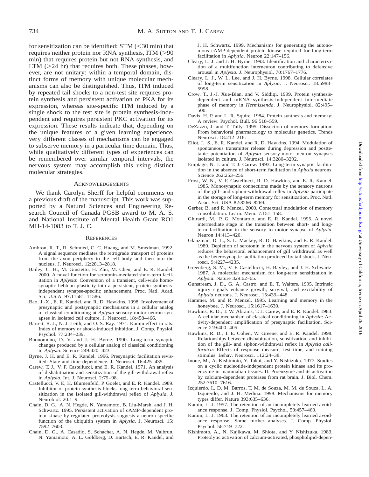for sensitization can be identified:  $STM$  ( $\leq$ 30 min) that requires neither protein nor RNA synthesis, ITM  $(>90$ min) that requires protein but not RNA synthesis, and LTM  $(>24 \text{ hr})$  that requires both. These phases, however, are not unitary: within a temporal domain, distinct forms of memory with unique molecular mechanisms can also be distinguished. Thus, ITM induced by repeated tail shocks to a non-test site requires protein synthesis and persistent activation of PKA for its expression, whereas site-specific ITM induced by a single shock to the test site is protein synthesis-independent and requires persistent PKC activation for its expression. These results indicate that, depending on the unique features of a given learning experience, very different classes of mechanisms can be engaged to subserve memory in a particular time domain. Thus, while qualitatively different types of experiences can be remembered over similar temporal intervals, the nervous system may accomplish this using distinct molecular strategies.

#### **ACKNOWLEDGEMENTS**

We thank Carolyn Sherff for helpful comments on a previous draft of the manuscript. This work was supported by a Natural Sciences and Engineering Research Council of Canada PGSB award to M. A. S. and National Institute of Mental Health Grant RO1 MH-14-1083 to T. J. C.

#### **REFERENCES**

- Ambron, R. T., R. Schmied, C. C. Huang, and M. Smedman. 1992. A signal sequence mediates the retrograde transport of proteins from the axon periphery to the cell body and then into the nucleus. J. Neurosci. 12:2813–2818.
- Bailey, C. H., M. Giustetto, H. Zhu, M. Chen, and E. R. Kandel. 2000. A novel function for serotonin-mediated short-term facilitation in *Aplysia*: Conversion of a transient, cell-wide homosynaptic hebbian plasticity into a persistent, protein synthesisindependent synapse-specific enhancement. Proc. Natl. Acad. Sci. U.S.A. 97:11581–11586.
- Bao, J.-X., E. R. Kandel, and R. D. Hawkins. 1998. Involvement of presynaptic and postsynaptic mechanisms in a cellular analog of classical conditioning at *Aplysia* sensory-motor neuron synapses in isolated cell culture. J. Neurosci. 18:458–466.
- Barrett, R. J., N. J. Leith, and O. S. Ray. 1971. Kamin effect in rats: Index of memory or shock-induced inhbition. J. Comp. Physiol. Psychol. 77:234–239.
- Buonomono, D. V. and J. H. Byrne. 1990. Long-term synaptic changes produced by a cellular analog of classical conditioning in *Aplysia*. Science 249:420–423.
- Byrne, J. H. and E. R. Kandel. 1996. Presynaptic facilitation revisited: State and time dependence. J. Neurosci. 16:425–435.
- Carew, T. J., V. F. Castellucci, and E. R. Kandel. 1971. An analysis of dishabituation and sensitization of the gill-withdrawal reflex in *Aplysia*. Int. J. Neurosci. 2:79–98.
- Castellucci, V. F., H. Blumenfeld, P. Goelet, and E. R. Kandel. 1989. Inhibitor of protein synthesis blocks long-term behavioral sensitization in the isolated gill-withdrawal reflex of *Aplysia*. J. Neurobiol. 20:1–9.
- Chain, D. G., A. N. Hegde, N. Yamamoto, B. Liu-Marsh, and J. H. Schwartz. 1995. Persistent activation of cAMP-dependent protein kinase by regulated proteolysis suggests a neuron-specific function of the ubiquitin system in *Aplysia*. J. Neurosci. 15: 7592–7603.
- Chain, D. G., A. Casadio, S. Schacher, A. N. Hegde, M. Valbrun, N. Yamamoto, A. L. Goldberg, D. Bartsch, E. R. Kandel, and

J. H. Schwartz. 1999. Mechanisms for generating the autonomous cAMP-dependent protein kinase required for long-term facilitation in *Aplysia*. Neuron 22:147–156.

- Cleary, L. J. and J. H. Byrne. 1993. Identification and characterization of a multifunction interneuron contributing to defensive arousal in *Aplysia*. J. Neurophysiol. 70:1767–1776.
- Cleary, L. J., W. L. Lee, and J. H. Byrne. 1998. Cellular correlates of long-term sensitization in *Aplysia*. J. Neurosci. 18:5988– 5998.
- Crow, T., J.-J. Xue-Bian, and V. Siddiqi. 1999. Protein synthesisdependent and mRNA synthesis-independent intermediate phase of memory in *Hermissenda*. J. Neurophysiol. 82:495– 500.
- Davis, H. P. and L. R. Squire. 1984. Protein synthesis and memory: A review. Psychol. Bull. 96:518–559.
- DeZazzo, J. and T. Tully. 1995. Dissection of memory formation: From behavioral pharmacology to molecular genetics. Trends Neurosci. 18:212–218.
- Eliot, L. S., E. R. Kandel, and R. D. Hawkins. 1994. Modulation of spontaneous transmitter release during depression and posttetanic potentiation of *Aplysia* sensory-motor neuron synapses isolated in culture. J. Neurosci. 14:3280–3292.
- Emptage, N. J. and T. J. Carew. 1993. Long-term synaptic facilitation in the absence of short-term facilitation in *Aplysia* neurons. Science 262:253–256.
- Frost, W. N., V. F. Castellucci, R. D. Hawkins, and E. R. Kandel. 1985. Monosynaptic connections made by the sensory neurons of the gill- and siphon-withdrawal reflex in *Aplysia* participate in the storage of long-term memory for sensitization. Proc. Natl. Acad. Sci. USA 82:8266–8269.
- Gerber, B. and R. Menzel. 2000. Contextual modulation of memory consolidation. Learn. Mem. 7:151–158.
- Ghirardi, M., P. G. Montarolo, and E. R. Kandel. 1995. A novel intermediate stage in the transition between short- and longterm facilitation in the sensory to motor synapse of *Aplysia*. Neuron 14:413–420.
- Glanzman, D. L., S. L. Mackey, R. D. Hawkins, and E. R. Kandel. 1989. Depletion of serotonin in the nervous system of *Aplysia* reduces the behavioral enhancement of gill withdrawal as well as the heterosynaptic facilitation produced by tail shock. J. Neurosci. 9:4227–4235.
- Greenberg, S. M., V. F. Castellucci, H. Bayley, and J. H. Schwartz. 1987. A molecular mechanism for long-term sensitization in *Aplysia*. Nature 329:62–65.
- Gunstream, J. D., G. A. Castro, and E. T. Walters. 1995. Intrinsic injury signals enhance growth, survival, and excitability of *Aplysia* neurons. J. Neurosci. 15:439–448.
- Hammer, M. and R. Menzel. 1995. Learning and memory in the honeybee. J. Neurosci. 15:1617–1630.
- Hawkins, R. D., T. W. Abrams, T. J. Carew, and E. R. Kandel. 1983. A cellular mechanism of classical conditioning in *Aplysia*: Activity-dependent amplification of presynaptic facilitation. Science 219:400–405.
- Hawkins, R. D., T. E. Cohen, W. Greene, and E. R. Kandel. 1998. Relationships between dishabituation, sensitization, and inhibition of the gill- and siphon-withdrawal reflex in *Aplysia californica*: Effects of response measure, test time, and training stimulus. Behav. Neurosci. 112:24–38.
- Inoue, M., A. Kishimoto, Y. Takai, and Y. Nishizuka. 1977. Studies on a cyclic nucleotide-independent protein kinase and its proenzyme in mammalian tissues. II. Proenzyme and its activation by calcium-dependent proteases from rat brain. J. Biol. Chem. 252:7610–7616.
- Izquierdo, I., D. M. Barros, T. M. de Souza, M. M. de Souza, L. A. Izquierdo, and J. H. Medina. 1998. Mechanisms for memory types differ. Nature 393:635–636.
- Kamin, L. J. 1957. The retention of an incompletely learned avoidance response. J. Comp. Physiol. Psychol. 50:457–460.
- Kamin, L. J. 1963. The retention of an incompletely learned avoidance response: Some further analyses. J. Comp. Physiol. Psychol. 56:719–722.
- Kishimoto, A., N. Kajikawa, M. Shiota, and Y. Nishizuka. 1983. Proteolytic activation of calcium-activated, phospholipid-depen-